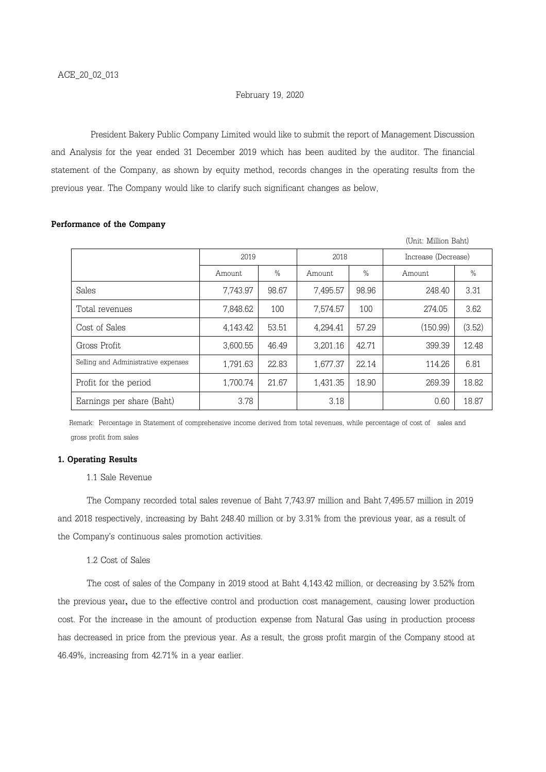### February 19, 2020

President Bakery Public Company Limited would like to submit the report of Management Discussion and Analysis for the year ended 31 December 2019 which has been audited by the auditor. The financial statement of the Company, as shown by equity method, records changes in the operating results from the previous year. The Company would like to clarify such significant changes as below,

|                                     |          |               |          |       | (Unit: Million Baht) |               |
|-------------------------------------|----------|---------------|----------|-------|----------------------|---------------|
|                                     | 2019     |               | 2018     |       | Increase (Decrease)  |               |
|                                     | Amount   | $\frac{0}{0}$ | Amount   | $\%$  | Amount               | $\frac{0}{0}$ |
| Sales                               | 7,743.97 | 98.67         | 7,495.57 | 98.96 | 248.40               | 3.31          |
| Total revenues                      | 7,848.62 | 100           | 7,574.57 | 100   | 274.05               | 3.62          |
| Cost of Sales                       | 4,143.42 | 53.51         | 4,294.41 | 57.29 | (150.99)             | (3.52)        |
| Gross Profit                        | 3,600.55 | 46.49         | 3,201.16 | 42.71 | 399.39               | 12.48         |
| Selling and Administrative expenses | 1,791.63 | 22.83         | 1,677.37 | 22.14 | 114.26               | 6.81          |
| Profit for the period               | 1,700.74 | 21.67         | 1,431.35 | 18.90 | 269.39               | 18.82         |
| Earnings per share (Baht)           | 3.78     |               | 3.18     |       | 0.60                 | 18.87         |

# Performance of the Company

 Remark: Percentage in Statement of comprehensive income derived from total revenues, while percentage of cost of sales and gross profit from sales

## 1. Operating Results

# 1.1 Sale Revenue

The Company recorded total sales revenue of Baht 7,743.97 million and Baht 7,495.57 million in 2019 and 2018 respectively, increasing by Baht 248.40 million or by 3.31% from the previous year, as a result of the Company's continuous sales promotion activities.

## 1.2 Cost of Sales

The cost of sales of the Company in 2019 stood at Baht 4,143.42 million, or decreasing by 3.52% from the previous year, due to the effective control and production cost management, causing lower production cost. For the increase in the amount of production expense from Natural Gas using in production process has decreased in price from the previous year. As a result, the gross profit margin of the Company stood at 46.49%, increasing from 42.71% in a year earlier.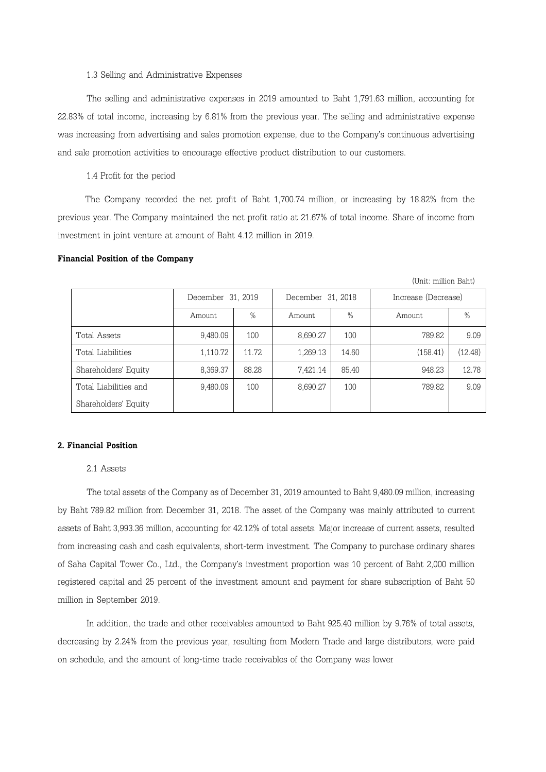## 1.3 Selling and Administrative Expenses

The selling and administrative expenses in 2019 amounted to Baht 1,791.63 million, accounting for 22.83% of total income, increasing by 6.81% from the previous year. The selling and administrative expense was increasing from advertising and sales promotion expense, due to the Company's continuous advertising and sale promotion activities to encourage effective product distribution to our customers.

1.4 Profit for the period

 The Company recorded the net profit of Baht 1,700.74 million, or increasing by 18.82% from the previous year. The Company maintained the net profit ratio at 21.67% of total income. Share of income from investment in joint venture at amount of Baht 4.12 million in 2019.

#### Financial Position of the Company

| (Unit: million Baht)  |                   |       |                   |       |                     |         |  |  |  |  |
|-----------------------|-------------------|-------|-------------------|-------|---------------------|---------|--|--|--|--|
|                       | December 31, 2019 |       | December 31, 2018 |       | Increase (Decrease) |         |  |  |  |  |
|                       | Amount            | $\%$  | Amount            | $\%$  | Amount              | $\%$    |  |  |  |  |
| Total Assets          | 9,480.09          | 100   | 8,690.27          | 100   | 789.82              | 9.09    |  |  |  |  |
| Total Liabilities     | 1,110.72          | 11.72 | 1,269.13          | 14.60 | (158.41)            | (12.48) |  |  |  |  |
| Shareholders' Equity  | 8,369.37          | 88.28 | 7,421.14          | 85.40 | 948.23              | 12.78   |  |  |  |  |
| Total Liabilities and | 9.480.09          | 100   | 8,690.27          | 100   | 789.82              | 9.09    |  |  |  |  |
| Shareholders' Equity  |                   |       |                   |       |                     |         |  |  |  |  |

### 2. Financial Position

### 2.1 Assets

The total assets of the Company as of December 31, 2019 amounted to Baht 9,480.09 million, increasing by Baht 789.82 million from December 31, 2018. The asset of the Company was mainly attributed to current assets of Baht 3,993.36 million, accounting for 42.12% of total assets. Major increase of current assets, resulted from increasing cash and cash equivalents, short-term investment. The Company to purchase ordinary shares of Saha Capital Tower Co., Ltd., the Company's investment proportion was 10 percent of Baht 2,000 million registered capital and 25 percent of the investment amount and payment for share subscription of Baht 50 million in September 2019.

In addition, the trade and other receivables amounted to Baht 925.40 million by 9.76% of total assets, decreasing by 2.24% from the previous year, resulting from Modern Trade and large distributors, were paid on schedule, and the amount of long-time trade receivables of the Company was lower